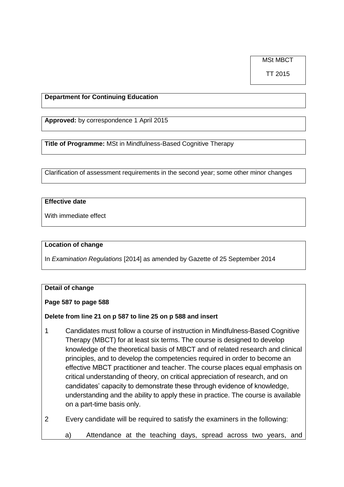MSt MBCT

TT 2015

**Department for Continuing Education**

**Approved:** by correspondence 1 April 2015

**Title of Programme:** MSt in Mindfulness-Based Cognitive Therapy

Clarification of assessment requirements in the second year; some other minor changes

## **Effective date**

With immediate effect

## **Location of change**

In *Examination Regulations* [2014] as amended by Gazette of 25 September 2014

## **Detail of change**

**Page 587 to page 588**

## **Delete from line 21 on p 587 to line 25 on p 588 and insert**

- 1 Candidates must follow a course of instruction in Mindfulness-Based Cognitive Therapy (MBCT) for at least six terms. The course is designed to develop knowledge of the theoretical basis of MBCT and of related research and clinical principles, and to develop the competencies required in order to become an effective MBCT practitioner and teacher. The course places equal emphasis on critical understanding of theory, on critical appreciation of research, and on candidates' capacity to demonstrate these through evidence of knowledge, understanding and the ability to apply these in practice. The course is available on a part-time basis only.
- 2 Every candidate will be required to satisfy the examiners in the following:
	- a) Attendance at the teaching days, spread across two years, and